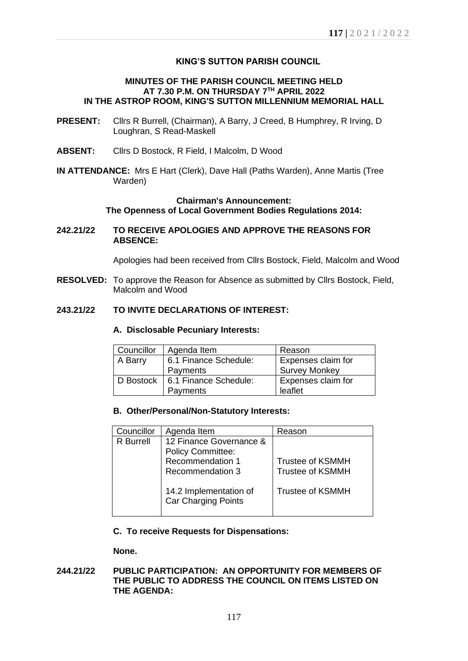# **KING'S SUTTON PARISH COUNCIL**

### **MINUTES OF THE PARISH COUNCIL MEETING HELD AT 7.30 P.M. ON THURSDAY 7 TH APRIL 2022 IN THE ASTROP ROOM, KING'S SUTTON MILLENNIUM MEMORIAL HALL**

- **PRESENT:** Cllrs R Burrell, (Chairman), A Barry, J Creed, B Humphrey, R Irving, D Loughran, S Read-Maskell
- **ABSENT:** Cllrs D Bostock, R Field, I Malcolm, D Wood
- **IN ATTENDANCE:** Mrs E Hart (Clerk), Dave Hall (Paths Warden), Anne Martis (Tree Warden)

# **Chairman's Announcement: The Openness of Local Government Bodies Regulations 2014:**

**242.21/22 TO RECEIVE APOLOGIES AND APPROVE THE REASONS FOR ABSENCE:**

Apologies had been received from Cllrs Bostock, Field, Malcolm and Wood

**RESOLVED:** To approve the Reason for Absence as submitted by Cllrs Bostock, Field, Malcolm and Wood

# **243.21/22 TO INVITE DECLARATIONS OF INTEREST:**

### **A. Disclosable Pecuniary Interests:**

| Councillor | Agenda Item           | Reason               |  |  |
|------------|-----------------------|----------------------|--|--|
| A Barry    | 6.1 Finance Schedule: | Expenses claim for   |  |  |
|            | Payments              | <b>Survey Monkey</b> |  |  |
| D Bostock  | 6.1 Finance Schedule: | Expenses claim for   |  |  |
|            | Payments              | leaflet              |  |  |

# **B. Other/Personal/Non-Statutory Interests:**

| Councillor       | Agenda Item                                                                                        | Reason                                             |
|------------------|----------------------------------------------------------------------------------------------------|----------------------------------------------------|
| <b>R</b> Burrell | 12 Finance Governance &<br><b>Policy Committee:</b><br>Recommendation 1<br><b>Recommendation 3</b> | <b>Trustee of KSMMH</b><br><b>Trustee of KSMMH</b> |
|                  | 14.2 Implementation of<br>Car Charging Points                                                      | <b>Trustee of KSMMH</b>                            |

#### **C. To receive Requests for Dispensations:**

**None.**

# **244.21/22 PUBLIC PARTICIPATION: AN OPPORTUNITY FOR MEMBERS OF THE PUBLIC TO ADDRESS THE COUNCIL ON ITEMS LISTED ON THE AGENDA:**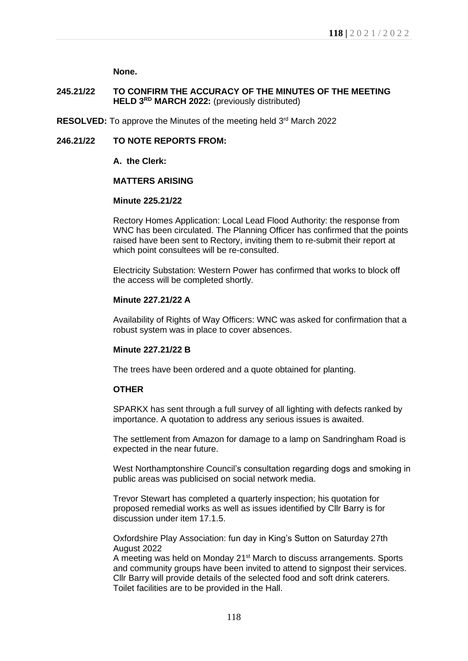**None.**

# **245.21/22 TO CONFIRM THE ACCURACY OF THE MINUTES OF THE MEETING HELD 3 RD MARCH 2022:** (previously distributed)

RESOLVED: To approve the Minutes of the meeting held 3<sup>rd</sup> March 2022

# **246.21/22 TO NOTE REPORTS FROM:**

### **A. the Clerk:**

# **MATTERS ARISING**

# **Minute 225.21/22**

Rectory Homes Application: Local Lead Flood Authority: the response from WNC has been circulated. The Planning Officer has confirmed that the points raised have been sent to Rectory, inviting them to re-submit their report at which point consultees will be re-consulted.

Electricity Substation: Western Power has confirmed that works to block off the access will be completed shortly.

## **Minute 227.21/22 A**

Availability of Rights of Way Officers: WNC was asked for confirmation that a robust system was in place to cover absences.

# **Minute 227.21/22 B**

The trees have been ordered and a quote obtained for planting.

# **OTHER**

SPARKX has sent through a full survey of all lighting with defects ranked by importance. A quotation to address any serious issues is awaited.

The settlement from Amazon for damage to a lamp on Sandringham Road is expected in the near future.

West Northamptonshire Council's consultation regarding dogs and smoking in public areas was publicised on social network media.

Trevor Stewart has completed a quarterly inspection; his quotation for proposed remedial works as well as issues identified by Cllr Barry is for discussion under item 17.1.5.

Oxfordshire Play Association: fun day in King's Sutton on Saturday 27th August 2022

A meeting was held on Monday 21st March to discuss arrangements. Sports and community groups have been invited to attend to signpost their services. Cllr Barry will provide details of the selected food and soft drink caterers. Toilet facilities are to be provided in the Hall.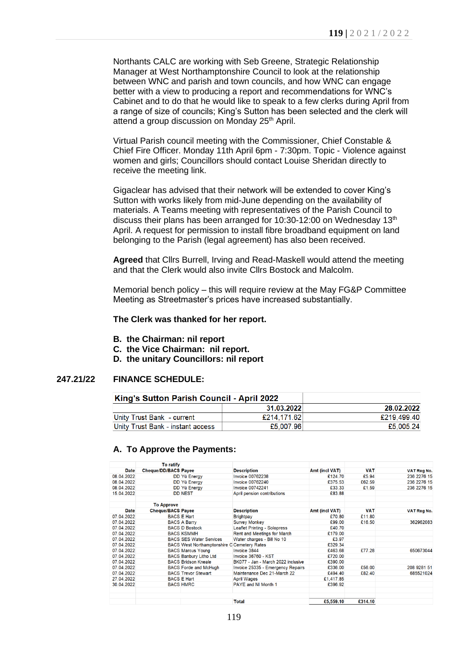Northants CALC are working with Seb Greene, Strategic Relationship Manager at West Northamptonshire Council to look at the relationship between WNC and parish and town councils, and how WNC can engage better with a view to producing a report and recommendations for WNC's Cabinet and to do that he would like to speak to a few clerks during April from a range of size of councils; King's Sutton has been selected and the clerk will attend a group discussion on Monday 25<sup>th</sup> April.

Virtual Parish council meeting with the Commissioner, Chief Constable & Chief Fire Officer. Monday 11th April 6pm - 7:30pm. Topic - Violence against women and girls; Councillors should contact Louise Sheridan directly to receive the meeting link.

Gigaclear has advised that their network will be extended to cover King's Sutton with works likely from mid-June depending on the availability of materials. A Teams meeting with representatives of the Parish Council to discuss their plans has been arranged for  $10:30-12:00$  on Wednesday  $13<sup>th</sup>$ April. A request for permission to install fibre broadband equipment on land belonging to the Parish (legal agreement) has also been received.

**Agreed** that Cllrs Burrell, Irving and Read-Maskell would attend the meeting and that the Clerk would also invite Cllrs Bostock and Malcolm.

Memorial bench policy – this will require review at the May FG&P Committee Meeting as Streetmaster's prices have increased substantially.

#### **The Clerk was thanked for her report.**

- **B. the Chairman: nil report**
- **C. the Vice Chairman: nil report.**
- **D. the unitary Councillors: nil report**

# **247.21/22 FINANCE SCHEDULE:**

| King's Sutton Parish Council - April 2022 |             |             |
|-------------------------------------------|-------------|-------------|
|                                           | 31.03.2022  | 28.02.2022  |
| Unity Trust Bank - current                | £214.171.62 | £219,499,40 |
| Unity Trust Bank - instant access         | £5,007.96   | £5,005.24   |

#### **A. To Approve the Payments:**

|             | <b>To ratify</b>            |                                                    |                                    |                |            |                    |
|-------------|-----------------------------|----------------------------------------------------|------------------------------------|----------------|------------|--------------------|
| <b>Date</b> | <b>Cheque/DD/BACS Payee</b> |                                                    | <b>Description</b>                 | Amt (incl VAT) | <b>VAT</b> | <b>VAT Reg No.</b> |
| 08.04.2022  |                             | DD Yü Energy                                       | <b>Invoice 00762238</b>            | £124.70        | £5.94      | 236 2276 15        |
| 08.04.2022  |                             | DD Yü Energy                                       | <b>Invoice 00762240</b>            | £375.53        | £62.59     | 236 2276 15        |
| 08.04.2022  |                             | <b>DD Yü Energy</b>                                | <b>Invoice 00742241</b>            | £33.33         | £1.59      | 236 2276 15        |
| 15.04.2022  |                             | <b>DD NEST</b>                                     | April pension contributions        | £83.88         |            |                    |
|             | <b>To Approve</b>           |                                                    |                                    |                |            |                    |
| <b>Date</b> | <b>Cheque/BACS Payee</b>    |                                                    | <b>Description</b>                 | Amt (incl VAT) | <b>VAT</b> | VAT Reg No.        |
| 07.04.2022  |                             | <b>BACS E Hart</b>                                 | <b>Brightpay</b>                   | £70.80         | £11.80     |                    |
| 07.04.2022  |                             | <b>BACS A Barry</b>                                | <b>Survey Monkey</b>               | £99.00         | £16.50     | 362962083          |
| 07.04.2022  |                             | <b>BACS D Bostock</b>                              | Leaflet Printing - Solopress       | £40.70         |            |                    |
| 07.04.2022  |                             | <b>BACS KSMMH</b>                                  | Rent and Meetings for March        | £179.00        |            |                    |
| 07.04.2022  |                             | <b>BACS SES Water Services</b>                     | Water charges - Bill No 10         | £3.97          |            |                    |
| 07.04.2022  |                             | <b>BACS West Northamptonshire C Cemetery Rates</b> |                                    | £329.34        |            |                    |
| 07.04.2022  |                             | <b>BACS Marcus Young</b>                           | Invoice 3844                       | £463.68        | £77.28     | 650673044          |
| 07.04.2022  |                             | <b>BACS Banbury Litho Ltd</b>                      | Invoice 36760 - KST                | £720.00        |            |                    |
| 07.04.2022  |                             | <b>BACS Bridson Kneale</b>                         | BK077 - Jan - March 2022 inclusive | £390.00        |            |                    |
| 07.04.2022  |                             | <b>BACS</b> Forde and McHugh                       | Invoice 25335 - Emergency Repairs  | £336.00        | £56.00     | 208 9281 51        |
| 07.04.2022  |                             | <b>BACS Trevor Stewart</b>                         | Maintenance Dec 21-March 22        | £494.40        | £82.40     | 685521024          |
| 27.04.2022  |                             | <b>BACS E Hart</b>                                 | <b>April Wages</b>                 | £1,417.85      |            |                    |
| 30.04.2022  |                             | <b>BACS HMRC</b>                                   | PAYE and NI Month 1                | £396.92        |            |                    |
|             |                             |                                                    | <b>Total</b>                       | £5,559.10      | £314.10    |                    |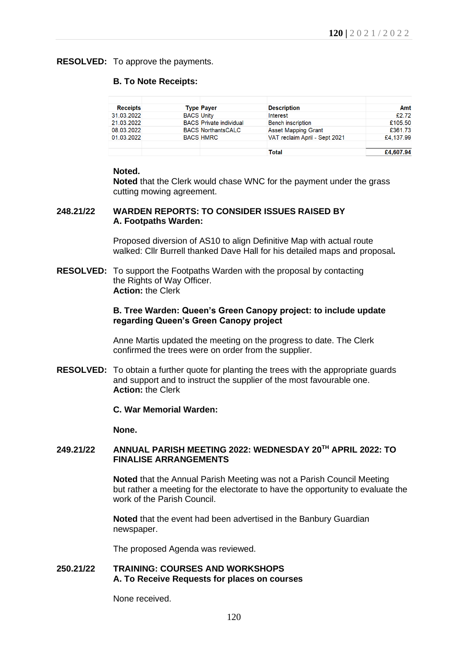#### **RESOLVED:** To approve the payments.

#### **B. To Note Receipts:**

| <b>Receipts</b> |                   | <b>Type Payer</b>              | <b>Description</b>            | Amt       |
|-----------------|-------------------|--------------------------------|-------------------------------|-----------|
| 31.03.2022      | <b>BACS Unity</b> |                                | Interest                      | £2.72     |
| 21.03.2022      |                   | <b>BACS</b> Private individual | <b>Bench inscription</b>      | £105.50   |
| 08.03.2022      |                   | <b>BACS NorthantsCALC</b>      | <b>Asset Mapping Grant</b>    | £361.73   |
| 01.03.2022      |                   | <b>BACS HMRC</b>               | VAT reclaim April - Sept 2021 | £4,137.99 |
|                 |                   |                                |                               |           |
|                 |                   |                                | Total                         | £4,607,94 |

#### **Noted.**

**Noted** that the Clerk would chase WNC for the payment under the grass cutting mowing agreement.

# **248.21/22 WARDEN REPORTS: TO CONSIDER ISSUES RAISED BY A. Footpaths Warden:**

Proposed diversion of AS10 to align Definitive Map with actual route walked: Cllr Burrell thanked Dave Hall for his detailed maps and proposal**.**

**RESOLVED:** To support the Footpaths Warden with the proposal by contacting the Rights of Way Officer. **Action:** the Clerk

#### **B. Tree Warden: Queen's Green Canopy project: to include update regarding Queen's Green Canopy project**

Anne Martis updated the meeting on the progress to date. The Clerk confirmed the trees were on order from the supplier.

**RESOLVED:** To obtain a further quote for planting the trees with the appropriate guards and support and to instruct the supplier of the most favourable one. **Action:** the Clerk

#### **C. War Memorial Warden:**

**None.**

#### **249.21/22 ANNUAL PARISH MEETING 2022: WEDNESDAY 20TH APRIL 2022: TO FINALISE ARRANGEMENTS**

**Noted** that the Annual Parish Meeting was not a Parish Council Meeting but rather a meeting for the electorate to have the opportunity to evaluate the work of the Parish Council.

**Noted** that the event had been advertised in the Banbury Guardian newspaper.

The proposed Agenda was reviewed.

# **250.21/22 TRAINING: COURSES AND WORKSHOPS A. To Receive Requests for places on courses**

None received.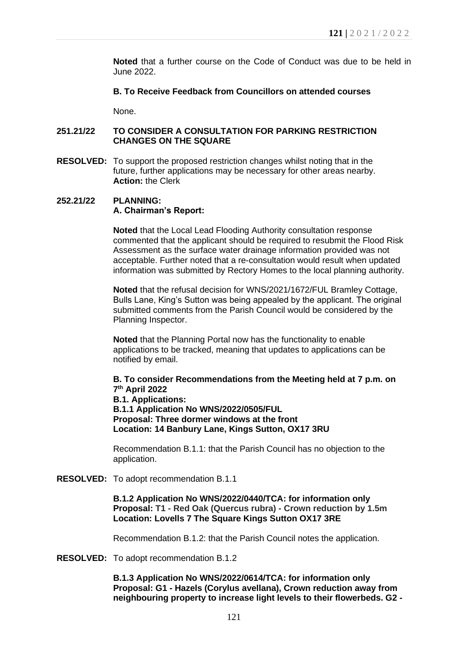**Noted** that a further course on the Code of Conduct was due to be held in June 2022.

# **B. To Receive Feedback from Councillors on attended courses**

None.

## **251.21/22 TO CONSIDER A CONSULTATION FOR PARKING RESTRICTION CHANGES ON THE SQUARE**

**RESOLVED:** To support the proposed restriction changes whilst noting that in the future, further applications may be necessary for other areas nearby. **Action:** the Clerk

#### **252.21/22 PLANNING: A. Chairman's Report:**

**Noted** that the Local Lead Flooding Authority consultation response commented that the applicant should be required to resubmit the Flood Risk Assessment as the surface water drainage information provided was not acceptable. Further noted that a re-consultation would result when updated information was submitted by Rectory Homes to the local planning authority.

**Noted** that the refusal decision for WNS/2021/1672/FUL Bramley Cottage, Bulls Lane, King's Sutton was being appealed by the applicant. The original submitted comments from the Parish Council would be considered by the Planning Inspector.

**Noted** that the Planning Portal now has the functionality to enable applications to be tracked, meaning that updates to applications can be notified by email.

**B. To consider Recommendations from the Meeting held at 7 p.m. on 7 th April 2022 B.1. Applications: B.1.1 Application No WNS/2022/0505/FUL Proposal: Three dormer windows at the front Location: 14 Banbury Lane, Kings Sutton, OX17 3RU**

Recommendation B.1.1: that the Parish Council has no objection to the application.

**RESOLVED:** To adopt recommendation B.1.1

**B.1.2 Application No WNS/2022/0440/TCA: for information only Proposal: T1 - Red Oak (Quercus rubra) - Crown reduction by 1.5m Location: Lovells 7 The Square Kings Sutton OX17 3RE**

Recommendation B.1.2: that the Parish Council notes the application.

**RESOLVED:** To adopt recommendation B.1.2

**B.1.3 Application No WNS/2022/0614/TCA: for information only Proposal: G1 - Hazels (Corylus avellana), Crown reduction away from neighbouring property to increase light levels to their flowerbeds. G2 -**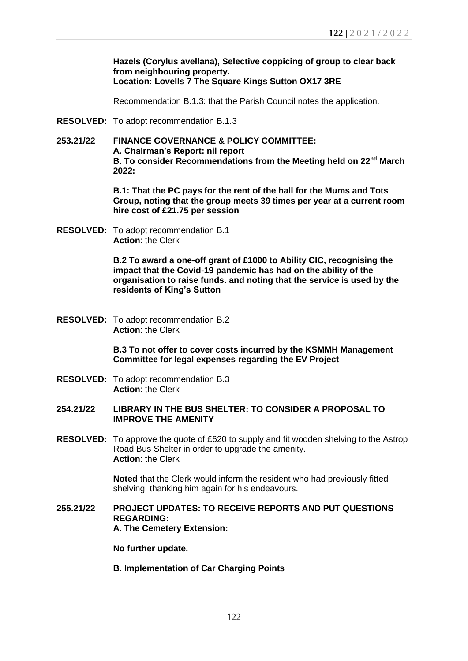**Hazels (Corylus avellana), Selective coppicing of group to clear back from neighbouring property. Location: Lovells 7 The Square Kings Sutton OX17 3RE**

Recommendation B.1.3: that the Parish Council notes the application.

- **RESOLVED:** To adopt recommendation B.1.3
- **253.21/22 FINANCE GOVERNANCE & POLICY COMMITTEE: A. Chairman's Report: nil report B. To consider Recommendations from the Meeting held on 22nd March 2022:**

**B.1: That the PC pays for the rent of the hall for the Mums and Tots Group, noting that the group meets 39 times per year at a current room hire cost of £21.75 per session**

**RESOLVED:** To adopt recommendation B.1 **Action**: the Clerk

> **B.2 To award a one-off grant of £1000 to Ability CIC, recognising the impact that the Covid-19 pandemic has had on the ability of the organisation to raise funds. and noting that the service is used by the residents of King's Sutton**

**RESOLVED:** To adopt recommendation B.2 **Action**: the Clerk

> **B.3 To not offer to cover costs incurred by the KSMMH Management Committee for legal expenses regarding the EV Project**

- **RESOLVED:** To adopt recommendation B.3 **Action**: the Clerk
- **254.21/22 LIBRARY IN THE BUS SHELTER: TO CONSIDER A PROPOSAL TO IMPROVE THE AMENITY**
- **RESOLVED:** To approve the quote of £620 to supply and fit wooden shelving to the Astrop Road Bus Shelter in order to upgrade the amenity. **Action**: the Clerk

**Noted** that the Clerk would inform the resident who had previously fitted shelving, thanking him again for his endeavours.

**255.21/22 PROJECT UPDATES: TO RECEIVE REPORTS AND PUT QUESTIONS REGARDING: A. The Cemetery Extension:** 

**No further update.**

**B. Implementation of Car Charging Points**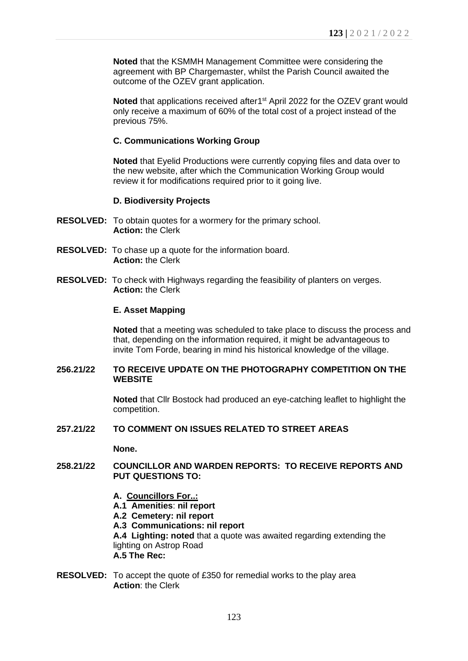**Noted** that the KSMMH Management Committee were considering the agreement with BP Chargemaster, whilst the Parish Council awaited the outcome of the OZEV grant application.

Noted that applications received after1<sup>st</sup> April 2022 for the OZEV grant would only receive a maximum of 60% of the total cost of a project instead of the previous 75%.

### **C. Communications Working Group**

**Noted** that Eyelid Productions were currently copying files and data over to the new website, after which the Communication Working Group would review it for modifications required prior to it going live.

## **D. Biodiversity Projects**

- **RESOLVED:** To obtain quotes for a wormery for the primary school. **Action:** the Clerk
- **RESOLVED:** To chase up a quote for the information board. **Action:** the Clerk
- **RESOLVED:** To check with Highways regarding the feasibility of planters on verges. **Action:** the Clerk

## **E. Asset Mapping**

**Noted** that a meeting was scheduled to take place to discuss the process and that, depending on the information required, it might be advantageous to invite Tom Forde, bearing in mind his historical knowledge of the village.

#### **256.21/22 TO RECEIVE UPDATE ON THE PHOTOGRAPHY COMPETITION ON THE WEBSITE**

**Noted** that Cllr Bostock had produced an eye-catching leaflet to highlight the competition.

## **257.21/22 TO COMMENT ON ISSUES RELATED TO STREET AREAS**

**None.**

## **258.21/22 COUNCILLOR AND WARDEN REPORTS: TO RECEIVE REPORTS AND PUT QUESTIONS TO:**

- **A. Councillors For..:**
- **A.1 Amenities**: **nil report**
- **A.2 Cemetery: nil report**
- **A.3 Communications: nil report**

**A.4 Lighting: noted** that a quote was awaited regarding extending the lighting on Astrop Road **A.5 The Rec:**

**RESOLVED:** To accept the quote of £350 for remedial works to the play area **Action**: the Clerk